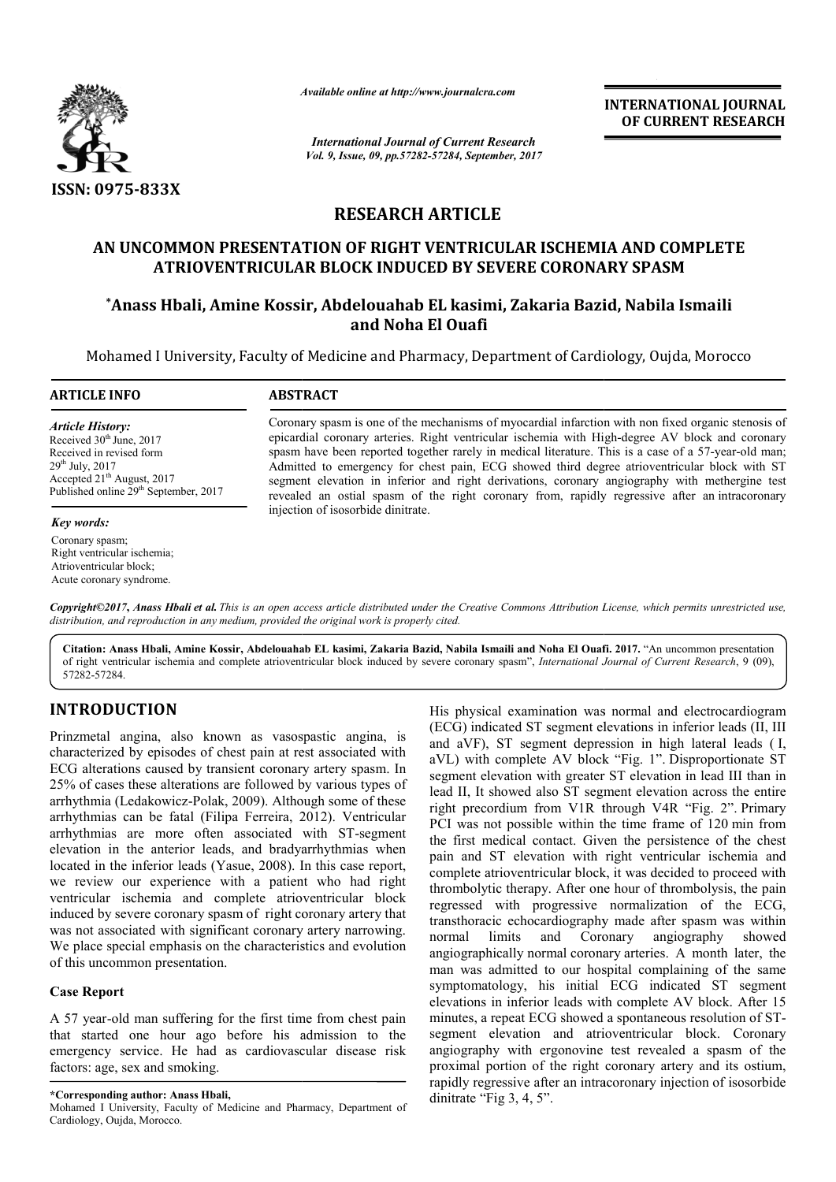

*Available online at http://www.journal http://www.journalcra.com*

*International Journal of Current Research Vol. 9, Issue, 09, pp.57282-57284, September, 2017* **INTERNATIONAL JOURNAL OF CURRENT RESEARCH** 

# **RESEARCH ARTICLE**

# **AN UNCOMMON PRESENTATION OF RIGHT VENTRICULAR ISCHEMIA AND COMPLETE**  OMMON PRESENTATION OF RIGHT VENTRICULAR ISCHEMIA AND COI<br>ATRIOVENTRICULAR BLOCK INDUCED BY SEVERE CORONARY SPASM

# **\*Anass Hbali, Amine Kossir , Kossir, Abdelouahab EL kasimi, Zakaria Bazid, Zakaria Nabila Ismaili and Noha El Ouafi**

Mohamed I University, Faculty of Medicine and Pharmacy, Department of Cardiology, Oujda, Morocco

#### **ARTICLE INFO ABSTRACT**

*Article History:* Received  $30<sup>th</sup>$  June, 2017 Received in revised form 29th July, 2017 Accepted 21<sup>th</sup> August, 2017 Published online 29<sup>th</sup> September, 2017

#### *Key words:*

Coronary spasm; Right ventricular ischemia; Atrioventricular block; Acute coronary syndrome.

Coronary spasm is one of the mechanisms of myocardial infarction with non fixed organic stenosis of Coronary spasm is one of the mechanisms of myocardial infarction with non fixed organic stenosis of epicardial coronary arteries. Right ventricular ischemia with High-degree AV block and coronary spasm have been reported together rarely in medical literature. This is a case of a 57-year-old man; Admitted to emergency for chest pain, ECG showed third degree atrioventricular block with ST segment elevation in inferior and right derivations, coronary angiography with methergine test revealed an ostial spasm of the right coronary from, rapidly regressive after an injection of isosorbide dinitrate. Admitted to emergency for chest pain, ECG showed third degree atrioventricular block with ST segment elevation in inferior and right derivations, coronary angiography with methergine test revealed an ostial spasm of the ri

Copyright©2017, Anass Hbali et al. This is an open access article distributed under the Creative Commons Attribution License, which permits unrestricted use, *distribution, and reproduction in any medium, provided the original work is properly cited.*

Citation: Anass Hbali, Amine Kossir, Abdelouahab EL kasimi, Zakaria Bazid, Nabila Ismaili and Noha El Ouafi. 2017. "An uncommon presentation of right ventricular ischemia and complete atrioventricular block induced by severe coronary spasm", *International Journal of Current Research*, 9 (09), 57282-57284.

# **INTRODUCTION**

Prinzmetal angina, also known as vasospastic angina, is characterized by episodes of chest pain at rest associated with ECG alterations caused by transient coronary artery spasm. In 25% of cases these alterations are followed by various types of arrhythmia (Ledakowicz-Polak, 2009). Although some of these arrhythmias can be fatal (Filipa Ferreira, 2012 , 2012). Ventricular arrhythmias are more often associated with ST ST-segment elevation in the anterior leads, and bradyarrhythmias when located in the inferior leads (Yasue, 2008). In this case report, we review our experience with a patient who had right ventricular ischemia and complete atrioventricular block induced by severe coronary spasm of right coronary artery that was not associated with significant coronary artery narrowing. We place special emphasis on the characteristics and evolution of this uncommon presentation. **OCTION**<br>
His physical examination was<br>
engina, also known as vasospastic angina, is<br>  $(ECG)$  indicated ST segment deleve<br>
to by episodes of chest pain at rest associated with<br>
tomplete AV block<br>
tos cause diversions can be

## **Case Report**

A 57 year-old man suffering for the first time from chest pain that started one hour ago before his admission to the emergency service. He had as cardiovascular disease risk factors: age, sex and smoking.

**\*Corresponding author: Anass Hbali,**

Mohamed I University, Faculty of Medicine and Pharmacy, Department of Cardiology, Oujda, Morocco.

(ECG) indicated ST segment elevations in inferior leads (II, III (ECG) indicated ST segment elevations in inferior leads (II, III and aVF), ST segment depression in high lateral leads (I, aVL) with complete AV block "Fig. 1". Disproportionate ST segment elevation with greater ST elevation in lead III than in lead II, It showed also ST segment elevation across the entire lead II, It showed also ST segment elevation across the entire right precordium from V1R through V4R "Fig. 2". Primary PCI was not possible within the time frame of 120 min from the first medical contact. Given the persistence of the chest pain and ST elevation with right ventricular ischemia and complete atrioventricular block, it was decided to proceed with thrombolytic therapy. After one hour of thrombolysis, the pain regressed with progressive normalization of the ECG, transthoracic echocardiography made after spasm was within normal limits and Coronary angiography showed angiographically normal coronary arteries. A month later, the man was admitted to our hospital complaining of the same man was admitted to our hospital complaining of the same<br>symptomatology, his initial ECG indicated ST segment elevations in inferior leads with complete AV block. After 15 elevations in inferior leads with complete AV block. After 15 minutes, a repeat ECG showed a spontaneous resolution of STsegment elevation and atrioventricular block. Coronary angiography with ergonovine test revealed a spasm of the proximal portion of the right coronary artery and its ostium, rapidly regressive after an intracoronary injection of isosorbide dinitrate "Fig 3, 4, 5". His physical examination was normal and electrocardiogram herapy. After one hour of thrombolysis, the pain<br>h progressive normalization of the ECG,<br>chocardiography made after spasm was within<br>is and Coronary angiography showed<br>ly normal coronary arteries. A month later, the angiography with ergonovine test revealed a spasm of the proximal portion of the right coronary artery and its ostium, rapidly regressive after an intracoronary injection of isosorbide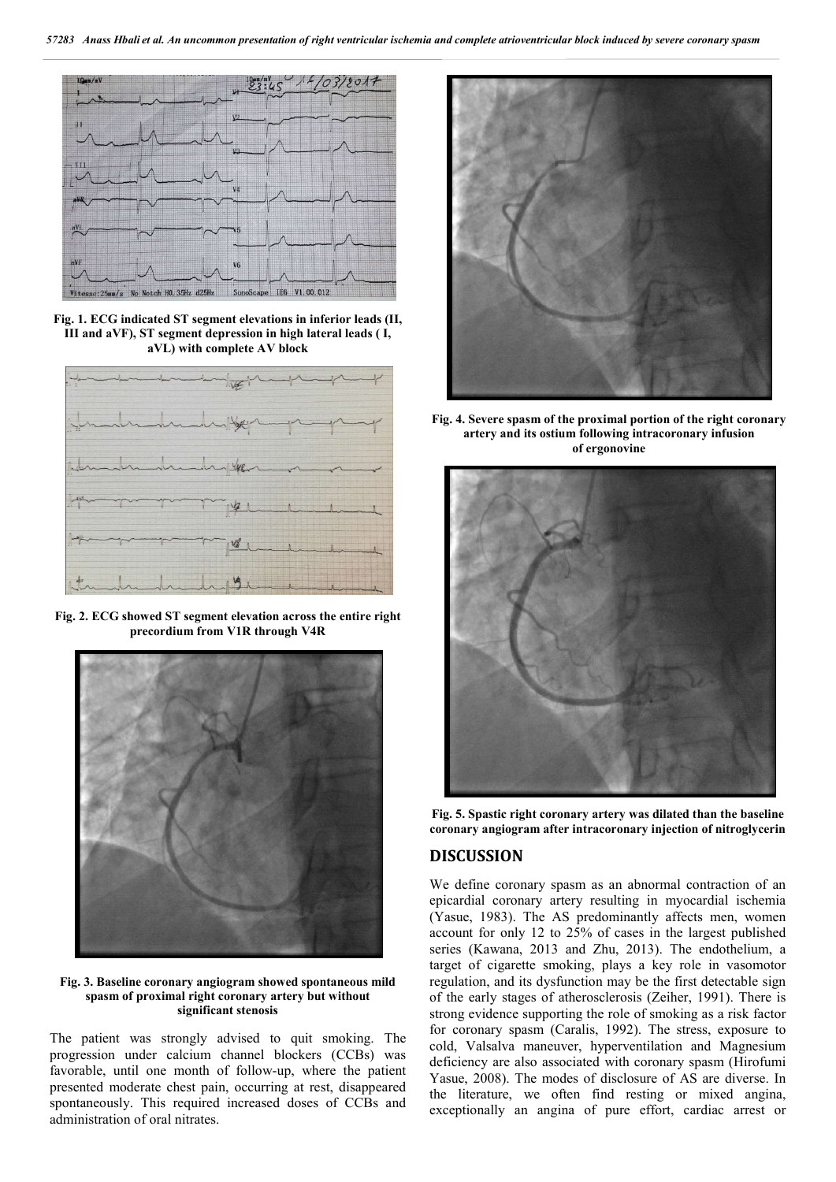

**Fig. 1. ECG indicated ST segment elevations in inferior leads (II, III and aVF), ST segment depression in high lateral leads ( I, aVL) with complete AV block**



**Fig. 2. ECG showed ST segment elevation across the entire right precordium from V1R through V4R**



**Fig. 3. Baseline coronary angiogram showed spontaneous mild spasm of proximal right coronary artery but without significant stenosis**

The patient was strongly advised to quit smoking. The progression under calcium channel blockers (CCBs) was favorable, until one month of follow-up, where the patient presented moderate chest pain, occurring at rest, disappeared spontaneously. This required increased doses of CCBs and administration of oral nitrates.



**Fig. 4. Severe spasm of the proximal portion of the right coronary artery and its ostium following intracoronary infusion of ergonovine**



**Fig. 5. Spastic right coronary artery was dilated than the baseline coronary angiogram after intracoronary injection of nitroglycerin**

## **DISCUSSION**

We define coronary spasm as an abnormal contraction of an epicardial coronary artery resulting in myocardial ischemia (Yasue, 1983). The AS predominantly affects men, women account for only 12 to 25% of cases in the largest published series (Kawana, 2013 and Zhu, 2013). The endothelium, a target of cigarette smoking, plays a key role in vasomotor regulation, and its dysfunction may be the first detectable sign of the early stages of atherosclerosis (Zeiher, 1991). There is strong evidence supporting the role of smoking as a risk factor for coronary spasm (Caralis, 1992). The stress, exposure to cold, Valsalva maneuver, hyperventilation and Magnesium deficiency are also associated with coronary spasm (Hirofumi Yasue, 2008). The modes of disclosure of AS are diverse. In the literature, we often find resting or mixed angina, exceptionally an angina of pure effort, cardiac arrest or